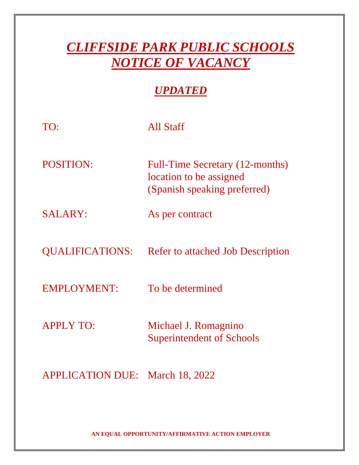## *CLIFFSIDE PARK PUBLIC SCHOOLS NOTICE OF VACANCY*

## *UPDATED*

| TO:                     | All Staff                                                                                  |
|-------------------------|--------------------------------------------------------------------------------------------|
| <b>POSITION:</b>        | Full-Time Secretary (12-months)<br>location to be assigned<br>(Spanish speaking preferred) |
| <b>SALARY:</b>          | As per contract                                                                            |
| <b>QUALIFICATIONS:</b>  | <b>Refer to attached Job Description</b>                                                   |
| <b>EMPLOYMENT:</b>      | To be determined                                                                           |
| <b>APPLY TO:</b>        | Michael J. Romagnino<br><b>Superintendent of Schools</b>                                   |
| <b>APPLICATION DUE:</b> | March 18, 2022                                                                             |

**AN EQUAL OPPORTUNITY/AFFIRMATIVE ACTION EMPLOYER**